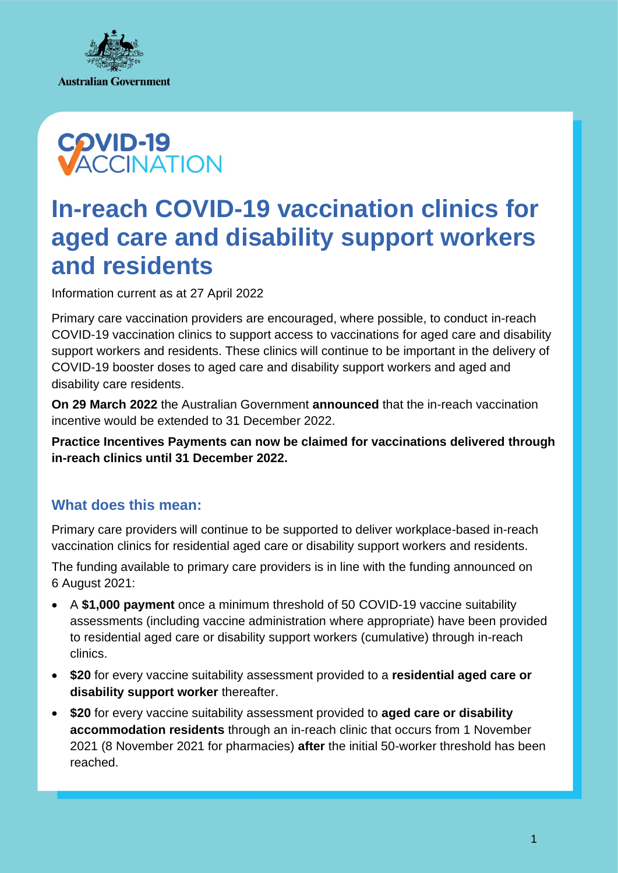



# **In-reach COVID-19 vaccination clinics for aged care and disability support workers and residents**

Information current as at 27 April 2022

Primary care vaccination providers are encouraged, where possible, to conduct in-reach COVID-19 vaccination clinics to support access to vaccinations for aged care and disability support workers and residents. These clinics will continue to be important in the delivery of COVID-19 booster doses to aged care and disability support workers and aged and disability care residents.

**On 29 March 2022** the Australian Government **[announced](https://www.health.gov.au/ministers/the-hon-greg-hunt-mp/media/98-billion-new-investment-in-australias-health-care-and-covid-response)** that the in-reach vaccination incentive would be extended to 31 December 2022.

**Practice Incentives Payments can now be claimed for vaccinations delivered through in-reach clinics until 31 December 2022.**

## **What does this mean:**

Primary care providers will continue to be supported to deliver workplace-based in-reach vaccination clinics for residential aged care or disability support workers and residents.

The funding available to primary care providers is in line with the funding announced on 6 August 2021:

- A **\$1,000 payment** once a minimum threshold of 50 COVID-19 vaccine suitability assessments (including vaccine administration where appropriate) have been provided to residential aged care or disability support workers (cumulative) through in-reach clinics.
- **\$20** for every vaccine suitability assessment provided to a **residential aged care or disability support worker** thereafter.
- **\$20** for every vaccine suitability assessment provided to **aged care or disability accommodation residents** through an in-reach clinic that occurs from 1 November 2021 (8 November 2021 for pharmacies) **after** the initial 50-worker threshold has been reached.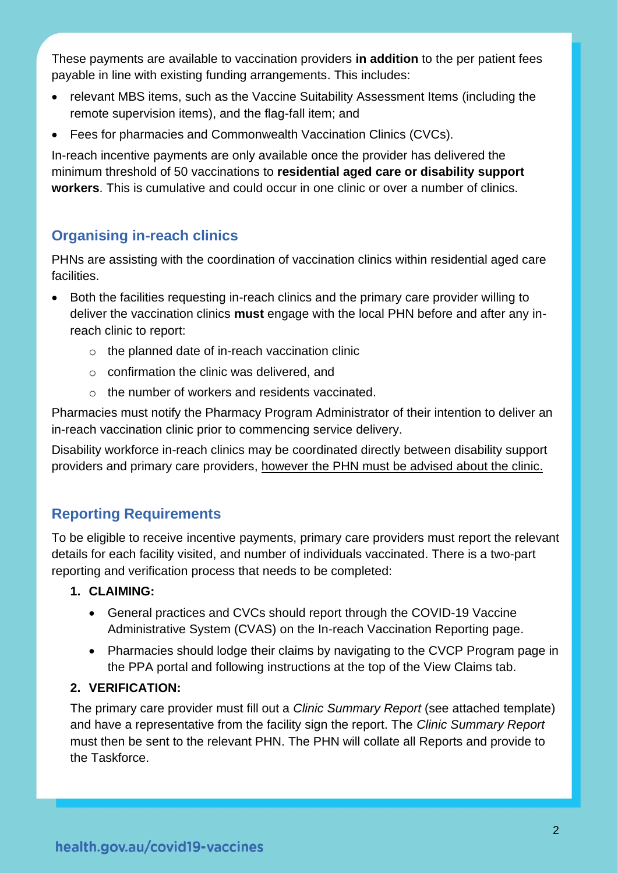These payments are available to vaccination providers **in addition** to the per patient fees payable in line with existing funding arrangements. This includes:

- relevant MBS items, such as the Vaccine Suitability Assessment Items (including the remote supervision items), and the flag-fall item; and
- Fees for pharmacies and Commonwealth Vaccination Clinics (CVCs).

In-reach incentive payments are only available once the provider has delivered the minimum threshold of 50 vaccinations to **residential aged care or disability support workers**. This is cumulative and could occur in one clinic or over a number of clinics.

# **Organising in-reach clinics**

PHNs are assisting with the coordination of vaccination clinics within residential aged care facilities.

- Both the facilities requesting in-reach clinics and the primary care provider willing to deliver the vaccination clinics **must** engage with the local PHN before and after any inreach clinic to report:
	- o the planned date of in-reach vaccination clinic
	- o confirmation the clinic was delivered, and
	- o the number of workers and residents vaccinated.

Pharmacies must notify the Pharmacy Program Administrator of their intention to deliver an in-reach vaccination clinic prior to commencing service delivery.

Disability workforce in-reach clinics may be coordinated directly between disability support providers and primary care providers, however the PHN must be advised about the clinic.

# **Reporting Requirements**

To be eligible to receive incentive payments, primary care providers must report the relevant details for each facility visited, and number of individuals vaccinated. There is a two-part reporting and verification process that needs to be completed:

## **1. CLAIMING:**

- General practices and CVCs should report through the COVID-19 Vaccine Administrative System (CVAS) on the In-reach Vaccination Reporting page.
- Pharmacies should lodge their claims by navigating to the CVCP Program page in the PPA portal and following instructions at the top of the View Claims tab.

## **2. VERIFICATION:**

The primary care provider must fill out a *Clinic Summary Report* (see attached template) and have a representative from the facility sign the report. The *Clinic Summary Report* must then be sent to the relevant PHN. The PHN will collate all Reports and provide to the Taskforce.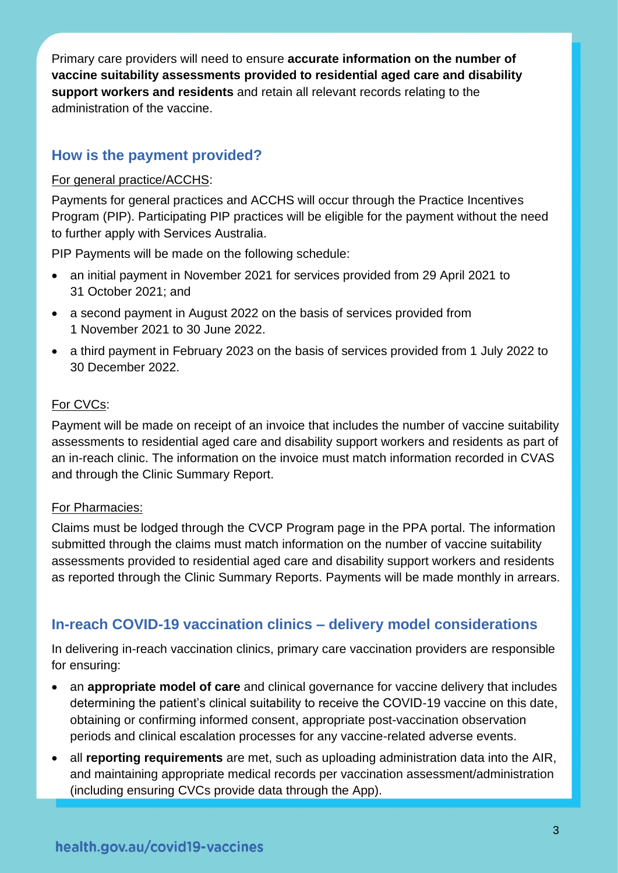Primary care providers will need to ensure **accurate information on the number of vaccine suitability assessments provided to residential aged care and disability support workers and residents** and retain all relevant records relating to the administration of the vaccine.

## **How is the payment provided?**

#### For general practice/ACCHS:

Payments for general practices and ACCHS will occur through the Practice Incentives Program (PIP). Participating PIP practices will be eligible for the payment without the need to further apply with Services Australia.

PIP Payments will be made on the following schedule:

- an initial payment in November 2021 for services provided from 29 April 2021 to 31 October 2021; and
- a second payment in August 2022 on the basis of services provided from 1 November 2021 to 30 June 2022.
- a third payment in February 2023 on the basis of services provided from 1 July 2022 to 30 December 2022.

#### For CVCs:

Payment will be made on receipt of an invoice that includes the number of vaccine suitability assessments to residential aged care and disability support workers and residents as part of an in-reach clinic. The information on the invoice must match information recorded in CVAS and through the Clinic Summary Report.

#### For Pharmacies:

Claims must be lodged through the CVCP Program page in the PPA portal. The information submitted through the claims must match information on the number of vaccine suitability assessments provided to residential aged care and disability support workers and residents as reported through the Clinic Summary Reports. Payments will be made monthly in arrears.

## **In-reach COVID-19 vaccination clinics – delivery model considerations**

In delivering in-reach vaccination clinics, primary care vaccination providers are responsible for ensuring:

- an **appropriate model of care** and clinical governance for vaccine delivery that includes determining the patient's clinical suitability to receive the COVID-19 vaccine on this date, obtaining or confirming informed consent, appropriate post-vaccination observation periods and clinical escalation processes for any vaccine-related adverse events.
- all **reporting requirements** are met, such as uploading administration data into the AIR, and maintaining appropriate medical records per vaccination assessment/administration (including ensuring CVCs provide data through the App).